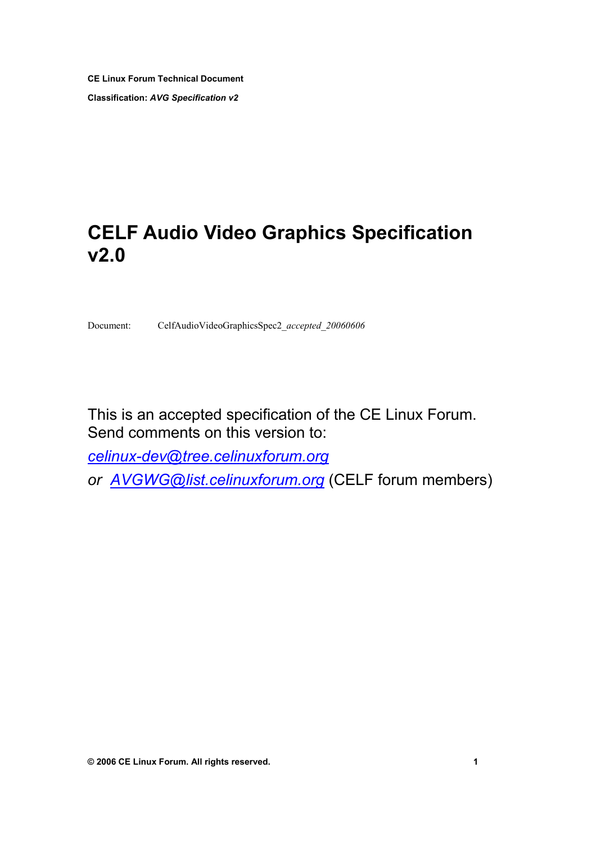**CE Linux Forum Technical Document Classification:** *AVG Specification v2*

# **CELF Audio Video Graphics Specification v2.0**

Document: CelfAudioVideoGraphicsSpec2\_*accepted*\_*20060606*

This is an accepted specification of the CE Linux Forum. Send comments on this version to:

*celinux-dev@tree.celinuxforum.org*

*[or AVGWG@list.celinuxforum.org](mailto:celinux-dev@tree.celinuxforum.org)* (CELF forum members)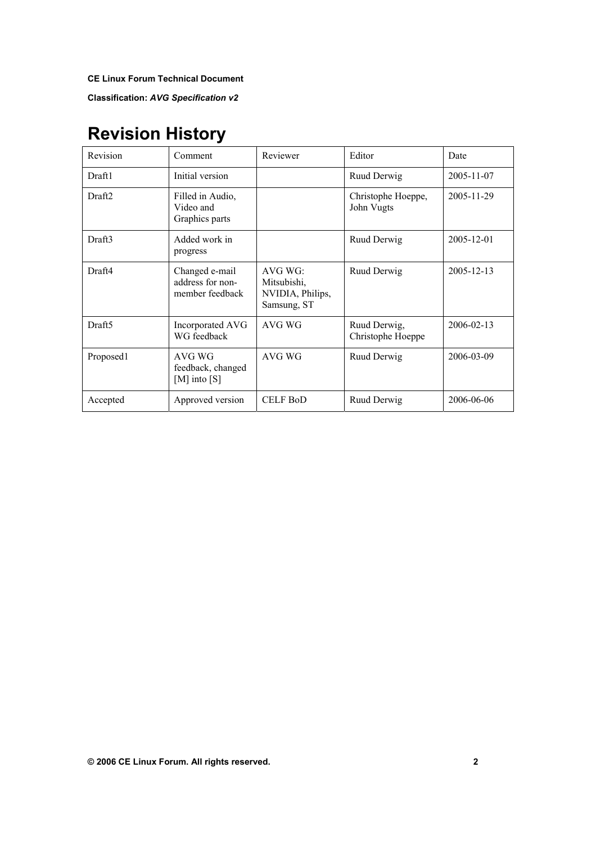**Classification:** *AVG Specification v2*

# **Revision History**

| Revision           | Comment                                               | Reviewer                                                  | Editor                            | Date             |
|--------------------|-------------------------------------------------------|-----------------------------------------------------------|-----------------------------------|------------------|
| Draft1             | Initial version                                       |                                                           | Ruud Derwig                       | 2005-11-07       |
| Draft <sub>2</sub> | Filled in Audio,<br>Video and<br>Graphics parts       |                                                           | Christophe Hoeppe,<br>John Vugts  | 2005-11-29       |
| Draft3             | Added work in<br>progress                             |                                                           | Ruud Derwig                       | $2005 - 12 - 01$ |
| Draft4             | Changed e-mail<br>address for non-<br>member feedback | AVG WG:<br>Mitsubishi,<br>NVIDIA, Philips,<br>Samsung, ST | Ruud Derwig                       | 2005-12-13       |
| Draft <sub>5</sub> | Incorporated AVG<br>WG feedback                       | AVG WG                                                    | Ruud Derwig,<br>Christophe Hoeppe | 2006-02-13       |
| Proposed1          | AVG WG<br>feedback, changed<br>[M] into $[S]$         | AVG WG                                                    | Ruud Derwig                       | 2006-03-09       |
| Accepted           | Approved version                                      | <b>CELF BoD</b>                                           | Ruud Derwig                       | 2006-06-06       |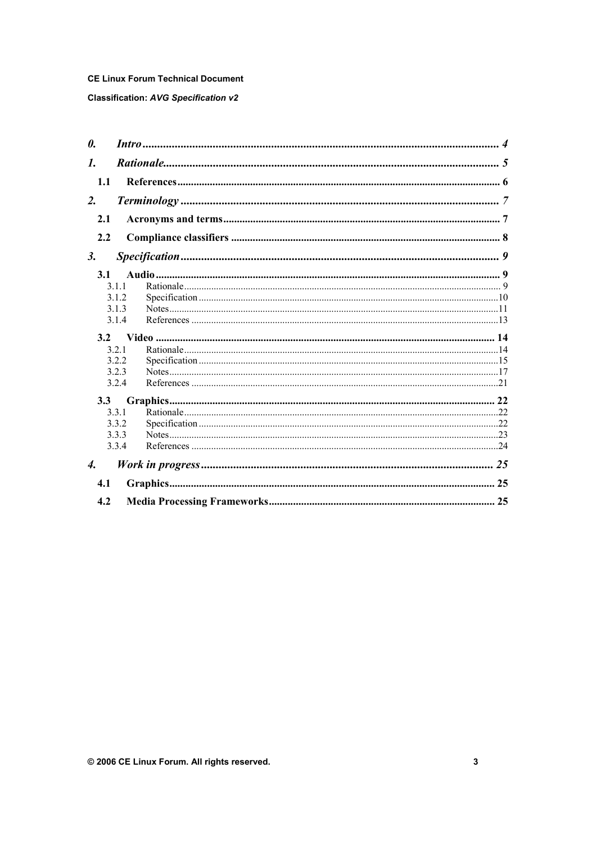### **Classification: AVG Specification v2**

| 0.                           |       |  |
|------------------------------|-------|--|
| $\mathbf{I}$ .               |       |  |
| 1.1                          |       |  |
| 2.                           |       |  |
| 2.1                          |       |  |
| 2.2                          |       |  |
| 3.                           |       |  |
| 3.1                          |       |  |
|                              | 3 1 1 |  |
|                              | 3.1.2 |  |
|                              | 3.1.3 |  |
|                              | 3.1.4 |  |
|                              |       |  |
| 3.2                          |       |  |
|                              | 321   |  |
|                              | 3.2.2 |  |
|                              | 3.2.3 |  |
|                              | 3.2.4 |  |
| 3.3                          |       |  |
|                              | 3.3.1 |  |
|                              | 3.3.2 |  |
|                              | 3.3.3 |  |
|                              | 3.3.4 |  |
| $\boldsymbol{\mathcal{A}}$ . |       |  |
| 4.1                          |       |  |
| 4.2                          |       |  |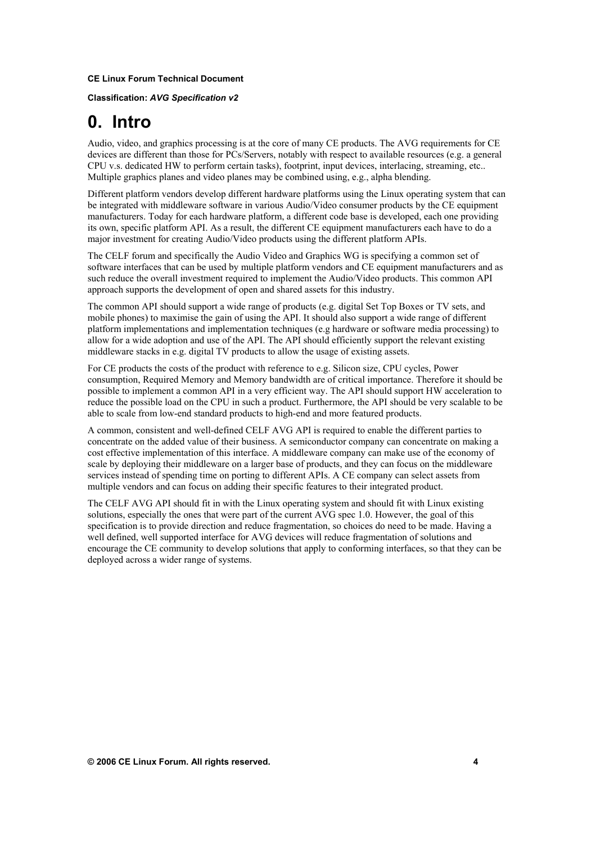**Classification:** *AVG Specification v2*

# **0. Intro**

Audio, video, and graphics processing is at the core of many CE products. The AVG requirements for CE devices are different than those for PCs/Servers, notably with respect to available resources (e.g. a general CPU v.s. dedicated HW to perform certain tasks), footprint, input devices, interlacing, streaming, etc.. Multiple graphics planes and video planes may be combined using, e.g., alpha blending.

Different platform vendors develop different hardware platforms using the Linux operating system that can be integrated with middleware software in various Audio/Video consumer products by the CE equipment manufacturers. Today for each hardware platform, a different code base is developed, each one providing its own, specific platform API. As a result, the different CE equipment manufacturers each have to do a major investment for creating Audio/Video products using the different platform APIs.

The CELF forum and specifically the Audio Video and Graphics WG is specifying a common set of software interfaces that can be used by multiple platform vendors and CE equipment manufacturers and as such reduce the overall investment required to implement the Audio/Video products. This common API approach supports the development of open and shared assets for this industry.

The common API should support a wide range of products (e.g. digital Set Top Boxes or TV sets, and mobile phones) to maximise the gain of using the API. It should also support a wide range of different platform implementations and implementation techniques (e.g hardware or software media processing) to allow for a wide adoption and use of the API. The API should efficiently support the relevant existing middleware stacks in e.g. digital TV products to allow the usage of existing assets.

For CE products the costs of the product with reference to e.g. Silicon size, CPU cycles, Power consumption, Required Memory and Memory bandwidth are of critical importance. Therefore it should be possible to implement a common API in a very efficient way. The API should support HW acceleration to reduce the possible load on the CPU in such a product. Furthermore, the API should be very scalable to be able to scale from low-end standard products to high-end and more featured products.

A common, consistent and well-defined CELF AVG API is required to enable the different parties to concentrate on the added value of their business. A semiconductor company can concentrate on making a cost effective implementation of this interface. A middleware company can make use of the economy of scale by deploying their middleware on a larger base of products, and they can focus on the middleware services instead of spending time on porting to different APIs. A CE company can select assets from multiple vendors and can focus on adding their specific features to their integrated product.

The CELF AVG API should fit in with the Linux operating system and should fit with Linux existing solutions, especially the ones that were part of the current AVG spec 1.0. However, the goal of this specification is to provide direction and reduce fragmentation, so choices do need to be made. Having a well defined, well supported interface for AVG devices will reduce fragmentation of solutions and encourage the CE community to develop solutions that apply to conforming interfaces, so that they can be deployed across a wider range of systems.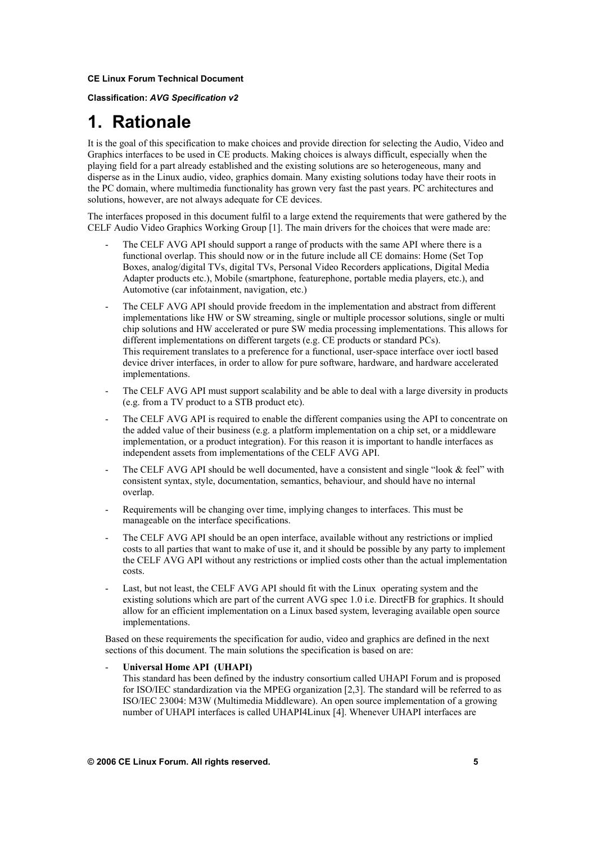**Classification:** *AVG Specification v2*

# **1. Rationale**

It is the goal of this specification to make choices and provide direction for selecting the Audio, Video and Graphics interfaces to be used in CE products. Making choices is always difficult, especially when the playing field for a part already established and the existing solutions are so heterogeneous, many and disperse as in the Linux audio, video, graphics domain. Many existing solutions today have their roots in the PC domain, where multimedia functionality has grown very fast the past years. PC architectures and solutions, however, are not always adequate for CE devices.

The interfaces proposed in this document fulfil to a large extend the requirements that were gathered by the CELF Audio Video Graphics Working Group [1]. The main drivers for the choices that were made are:

- The CELF AVG API should support a range of products with the same API where there is a functional overlap. This should now or in the future include all CE domains: Home (Set Top Boxes, analog/digital TVs, digital TVs, Personal Video Recorders applications, Digital Media Adapter products etc.), Mobile (smartphone, featurephone, portable media players, etc.), and Automotive (car infotainment, navigation, etc.)
- The CELF AVG API should provide freedom in the implementation and abstract from different implementations like HW or SW streaming, single or multiple processor solutions, single or multi chip solutions and HW accelerated or pure SW media processing implementations. This allows for different implementations on different targets (e.g. CE products or standard PCs). This requirement translates to a preference for a functional, user-space interface over ioctl based device driver interfaces, in order to allow for pure software, hardware, and hardware accelerated implementations.
- The CELF AVG API must support scalability and be able to deal with a large diversity in products (e.g. from a TV product to a STB product etc).
- The CELF AVG API is required to enable the different companies using the API to concentrate on the added value of their business (e.g. a platform implementation on a chip set, or a middleware implementation, or a product integration). For this reason it is important to handle interfaces as independent assets from implementations of the CELF AVG API.
- The CELF AVG API should be well documented, have a consistent and single "look & feel" with consistent syntax, style, documentation, semantics, behaviour, and should have no internal overlap.
- Requirements will be changing over time, implying changes to interfaces. This must be manageable on the interface specifications.
- The CELF AVG API should be an open interface, available without any restrictions or implied costs to all parties that want to make of use it, and it should be possible by any party to implement the CELF AVG API without any restrictions or implied costs other than the actual implementation costs.
- Last, but not least, the CELF AVG API should fit with the Linux operating system and the existing solutions which are part of the current AVG spec 1.0 i.e. DirectFB for graphics. It should allow for an efficient implementation on a Linux based system, leveraging available open source implementations.

Based on these requirements the specification for audio, video and graphics are defined in the next sections of this document. The main solutions the specification is based on are:

- **Universal Home API (UHAPI)**

This standard has been defined by the industry consortium called UHAPI Forum and is proposed for ISO/IEC standardization via the MPEG organization [2,3]. The standard will be referred to as ISO/IEC 23004: M3W (Multimedia Middleware). An open source implementation of a growing number of UHAPI interfaces is called UHAPI4Linux [4]. Whenever UHAPI interfaces are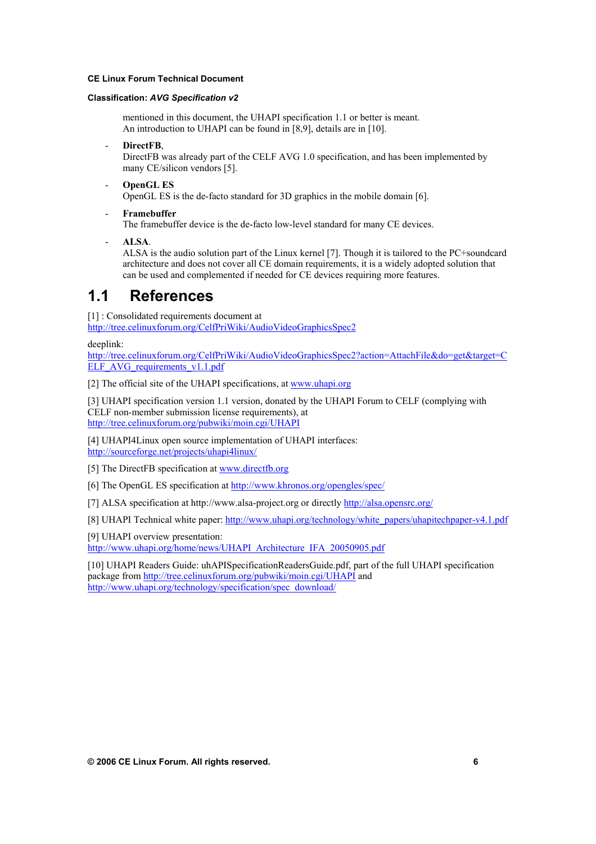#### **Classification:** *AVG Specification v2*

mentioned in this document, the UHAPI specification 1.1 or better is meant. An introduction to UHAPI can be found in [8,9], details are in [10].

DirectFB,

DirectFB was already part of the CELF AVG 1.0 specification, and has been implemented by many CE/silicon vendors [5].

- **OpenGL ES** OpenGL ES is the de-facto standard for 3D graphics in the mobile domain [6].
- **Framebuffer**  The framebuffer device is the de-facto low-level standard for many CE devices.
- **ALSA**.

ALSA is the audio solution part of the Linux kernel [7]. Though it is tailored to the PC+soundcard architecture and does not cover all CE domain requirements, it is a widely adopted solution that can be used and complemented if needed for CE devices requiring more features.

# **1.1 References**

[1] : Consolidated requirements document at http://tree.celinuxforum.org/CelfPriWiki/AudioVideoGraphicsSpec2

deeplink:

http://tree.celinuxforum.org/CelfPriWiki/AudioVideoGraphicsSpec2?action=AttachFile&do=get&target=C [E](http://tree.celinuxforum.org/CelfPriWiki/AudioVideoGraphicsSpec2)LF\_AVG\_requirements\_v1.1.pdf

[2] The official site of the UHAPI specifications, at www.uhapi.org

[\[](http://tree.celinuxforum.org/CelfPriWiki/AudioVideoGraphicsSpec2?action=AttachFile&do=get&target=CELF_AVG_requirements_v1.1.pdf)3] UHAPI specification version 1.1 version, donated by the UHAPI Forum to CELF (complying with CELF non-member submission license requirements), at [h](http://www.uhapi.org/)ttp://tree.celinuxforum.org/pubwiki/moin.cgi/UHAPI

[4] UHAPI4Linux open source implementation of UHAPI interfaces: http://sourceforge.net/projects/uhapi4linux/

[\[](http://tree.celinuxforum.org/pubwiki/moin.cgi/UHAPI)5] The DirectFB specification at www.directfb.org

[6] The OpenGL ES specification at http://www.khronos.org/opengles/spec/

[\[](http://sourceforge.net/projects/uhapi4linux/)7] ALSA specification at http://www.alsa-project.org or directly http://alsa.opensrc.org/

[\[](http://www.directfb.org/)8] UHAPI Technical white paper: http://www.uhapi.org/technology/white\_papers/uhapitechpaper-v4.1.pdf

[9] UHAPI overview presentation:

[h](http://www.khronos.org/opengles/spec/)ttp://www.uhapi.org/home/news/UHAPI\_Architecture\_IFA\_20050905.pdf

[\[](http://alsa.opensrc.org/)10] UHAPI Readers Guide: uhAPISpecificationReadersGuide.pdf, part of the full UHAPI specification package from http://tree.celinuxforum.org/pubwiki/moin.cgi/UHAPI and [h](http://www.uhapi.org/technology/white_papers/uhapitechpaper-v4.1.pdf)ttp://www.uhapi.org/technology/specification/spec\_download/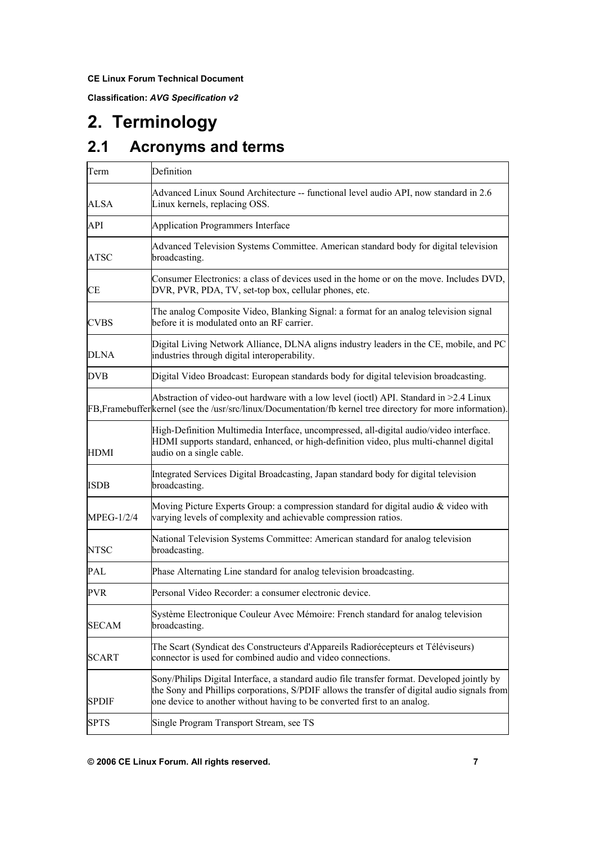**Classification:** *AVG Specification v2*

# **2. Terminology**

# **2.1 Acronyms and terms**

| Term              | Definition                                                                                                                                                                                                                                                              |  |
|-------------------|-------------------------------------------------------------------------------------------------------------------------------------------------------------------------------------------------------------------------------------------------------------------------|--|
| ALSA              | Advanced Linux Sound Architecture -- functional level audio API, now standard in 2.6<br>Linux kernels, replacing OSS.                                                                                                                                                   |  |
| API               | Application Programmers Interface                                                                                                                                                                                                                                       |  |
| <b>ATSC</b>       | Advanced Television Systems Committee. American standard body for digital television<br>broadcasting.                                                                                                                                                                   |  |
| CE                | Consumer Electronics: a class of devices used in the home or on the move. Includes DVD,<br>DVR, PVR, PDA, TV, set-top box, cellular phones, etc.                                                                                                                        |  |
| <b>CVBS</b>       | The analog Composite Video, Blanking Signal: a format for an analog television signal<br>before it is modulated onto an RF carrier.                                                                                                                                     |  |
| <b>DLNA</b>       | Digital Living Network Alliance, DLNA aligns industry leaders in the CE, mobile, and PC<br>industries through digital interoperability.                                                                                                                                 |  |
| <b>DVB</b>        | Digital Video Broadcast: European standards body for digital television broadcasting.                                                                                                                                                                                   |  |
|                   | Abstraction of video-out hardware with a low level (ioctl) API. Standard in >2.4 Linux<br>FB, Framebuffer kernel (see the /usr/src/linux/Documentation/fb kernel tree directory for more information).                                                                  |  |
| <b>HDMI</b>       | High-Definition Multimedia Interface, uncompressed, all-digital audio/video interface.<br>HDMI supports standard, enhanced, or high-definition video, plus multi-channel digital<br>audio on a single cable.                                                            |  |
| <b>ISDB</b>       | Integrated Services Digital Broadcasting, Japan standard body for digital television<br>broadcasting.                                                                                                                                                                   |  |
| <b>MPEG-1/2/4</b> | Moving Picture Experts Group: a compression standard for digital audio & video with<br>varying levels of complexity and achievable compression ratios.                                                                                                                  |  |
| <b>NTSC</b>       | National Television Systems Committee: American standard for analog television<br>broadcasting.                                                                                                                                                                         |  |
| <b>PAL</b>        | Phase Alternating Line standard for analog television broadcasting.                                                                                                                                                                                                     |  |
| <b>PVR</b>        | Personal Video Recorder: a consumer electronic device.                                                                                                                                                                                                                  |  |
| <b>SECAM</b>      | Système Electronique Couleur Avec Mémoire: French standard for analog television<br>broadcasting.                                                                                                                                                                       |  |
| <b>SCART</b>      | The Scart (Syndicat des Constructeurs d'Appareils Radiorécepteurs et Téléviseurs)<br>connector is used for combined audio and video connections.                                                                                                                        |  |
| <b>SPDIF</b>      | Sony/Philips Digital Interface, a standard audio file transfer format. Developed jointly by<br>the Sony and Phillips corporations, S/PDIF allows the transfer of digital audio signals from<br>one device to another without having to be converted first to an analog. |  |
| <b>SPTS</b>       | Single Program Transport Stream, see TS                                                                                                                                                                                                                                 |  |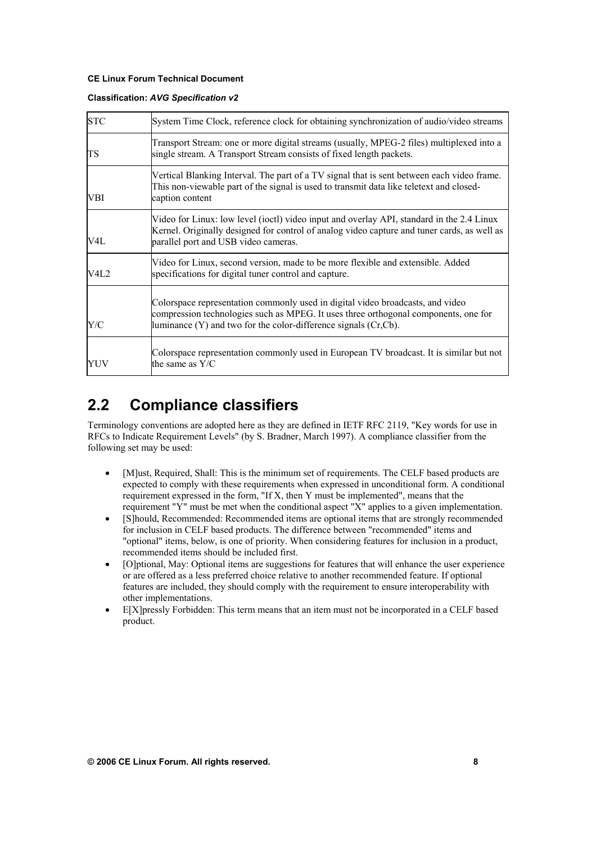#### **Classification:** *AVG Specification v2*

| <b>STC</b> | System Time Clock, reference clock for obtaining synchronization of audio/video streams                                                                                                                                                        |
|------------|------------------------------------------------------------------------------------------------------------------------------------------------------------------------------------------------------------------------------------------------|
| <b>TS</b>  | Transport Stream: one or more digital streams (usually, MPEG-2 files) multiplexed into a<br>single stream. A Transport Stream consists of fixed length packets.                                                                                |
| VBI        | Vertical Blanking Interval. The part of a TV signal that is sent between each video frame.<br>This non-viewable part of the signal is used to transmit data like teletext and closed-<br>caption content                                       |
| V4L        | Video for Linux: low level (ioctl) video input and overlay API, standard in the 2.4 Linux<br>Kernel. Originally designed for control of analog video capture and tuner cards, as well as<br>parallel port and USB video cameras.               |
| V4L2       | Video for Linux, second version, made to be more flexible and extensible. Added<br>specifications for digital tuner control and capture.                                                                                                       |
| Y/C        | Colorspace representation commonly used in digital video broadcasts, and video<br>compression technologies such as MPEG. It uses three orthogonal components, one for<br>luminance $(Y)$ and two for the color-difference signals $(Cr, Cb)$ . |
| YUV        | Colorspace representation commonly used in European TV broadcast. It is similar but not<br>the same as $Y/C$                                                                                                                                   |

# **2.2 Compliance classifiers**

Terminology conventions are adopted here as they are defined in IETF RFC 2119, "Key words for use in RFCs to Indicate Requirement Levels" (by S. Bradner, March 1997). A compliance classifier from the following set may be used:

- [M]ust, Required, Shall: This is the minimum set of requirements. The CELF based products are expected to comply with these requirements when expressed in unconditional form. A conditional requirement expressed in the form, "If X, then Y must be implemented", means that the requirement "Y" must be met when the conditional aspect "X" applies to a given implementation.
- [S]hould, Recommended: Recommended items are optional items that are strongly recommended for inclusion in CELF based products. The difference between "recommended" items and "optional" items, below, is one of priority. When considering features for inclusion in a product, recommended items should be included first.
- [O]ptional, May: Optional items are suggestions for features that will enhance the user experience or are offered as a less preferred choice relative to another recommended feature. If optional features are included, they should comply with the requirement to ensure interoperability with other implementations.
- E[X]pressly Forbidden: This term means that an item must not be incorporated in a CELF based product.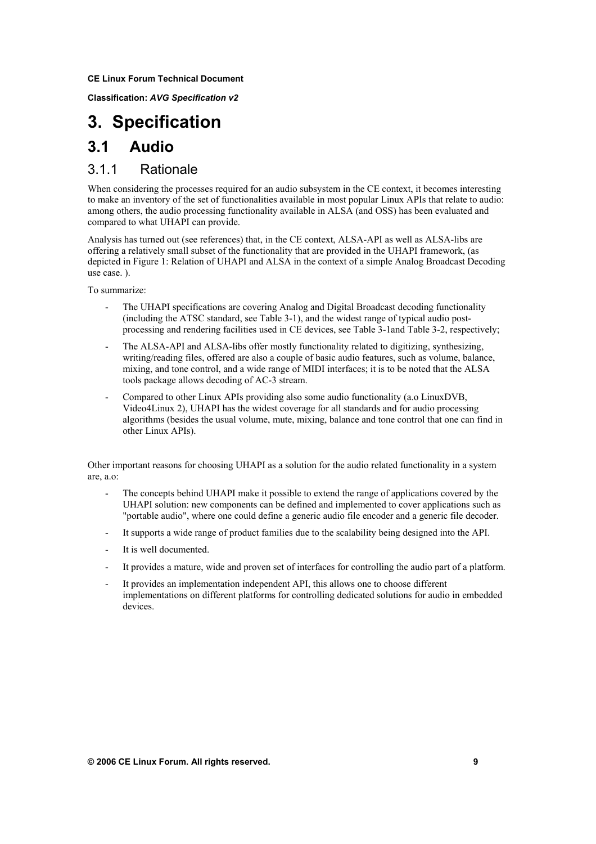**Classification:** *AVG Specification v2*

# **3. Specification**

## **3.1 Audio**

## 3.1.1 Rationale

When considering the processes required for an audio subsystem in the CE context, it becomes interesting to make an inventory of the set of functionalities available in most popular Linux APIs that relate to audio: among others, the audio processing functionality available in ALSA (and OSS) has been evaluated and compared to what UHAPI can provide.

Analysis has turned out (see references) that, in the CE context, ALSA-API as well as ALSA-libs are offering a relatively small subset of the functionality that are provided in the UHAPI framework, (as depicted in Figure 1: Relation of UHAPI and ALSA in the context of a simple Analog Broadcast Decoding use case. ).

To summarize:

- The UHAPI specifications are covering Analog and Digital Broadcast decoding functionality (including the ATSC standard, see Table 3-1), and the widest range of typical audio postprocessing and rendering facilities used in CE devices, see Table 3-1and Table 3-2, respectively;
- The ALSA-API and ALSA-libs offer mostly functionality related to digitizing, synthesizing, writing/reading files, offered are also a couple of basic audio features, such as volume, balance, mixing, and tone control, and a wide range of MIDI interfaces; it is to be noted that the ALSA tools package allows decoding of AC-3 stream.
- Compared to other Linux APIs providing also some audio functionality (a.o LinuxDVB, Video4Linux 2), UHAPI has the widest coverage for all standards and for audio processing algorithms (besides the usual volume, mute, mixing, balance and tone control that one can find in other Linux APIs).

Other important reasons for choosing UHAPI as a solution for the audio related functionality in a system are, a.o:

- The concepts behind UHAPI make it possible to extend the range of applications covered by the UHAPI solution: new components can be defined and implemented to cover applications such as "portable audio", where one could define a generic audio file encoder and a generic file decoder.
- It supports a wide range of product families due to the scalability being designed into the API.
- It is well documented.
- It provides a mature, wide and proven set of interfaces for controlling the audio part of a platform.
- It provides an implementation independent API, this allows one to choose different implementations on different platforms for controlling dedicated solutions for audio in embedded devices.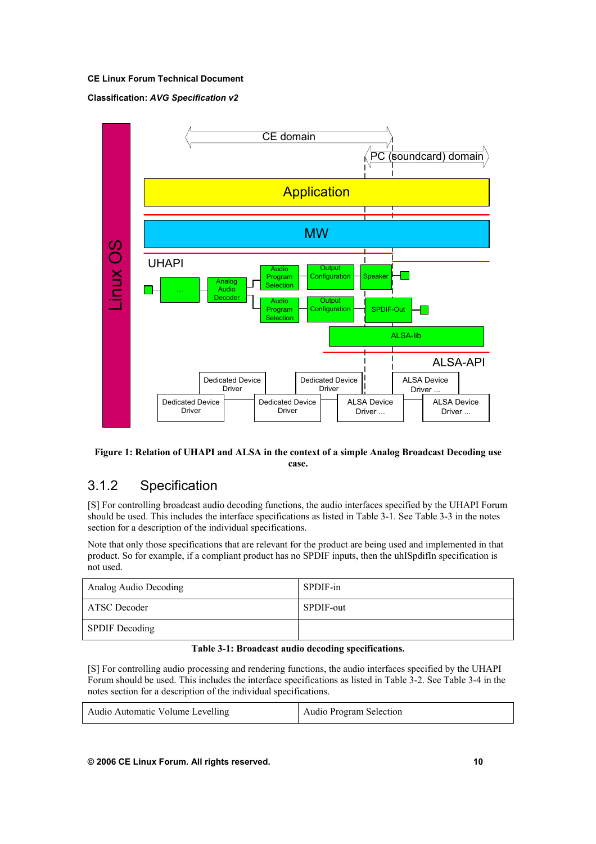#### **Classification:** *AVG Specification v2*



#### **Figure 1: Relation of UHAPI and ALSA in the context of a simple Analog Broadcast Decoding use case.**

## 3.1.2 Specification

[S] For controlling broadcast audio decoding functions, the audio interfaces specified by the UHAPI Forum should be used. This includes the interface specifications as listed in Table 3-1. See Table 3-3 in the notes section for a description of the individual specifications.

Note that only those specifications that are relevant for the product are being used and implemented in that product. So for example, if a compliant product has no SPDIF inputs, then the uhISpdifIn specification is not used.

| Analog Audio Decoding | SPDIF-in  |
|-----------------------|-----------|
| ATSC Decoder          | SPDIF-out |
| <b>SPDIF</b> Decoding |           |

#### **Table 3-1: Broadcast audio decoding specifications.**

[S] For controlling audio processing and rendering functions, the audio interfaces specified by the UHAPI Forum should be used. This includes the interface specifications as listed in Table 3-2. See Table 3-4 in the notes section for a description of the individual specifications.

| Audio Automatic Volume Levelling | Audio Program Selection |
|----------------------------------|-------------------------|
|----------------------------------|-------------------------|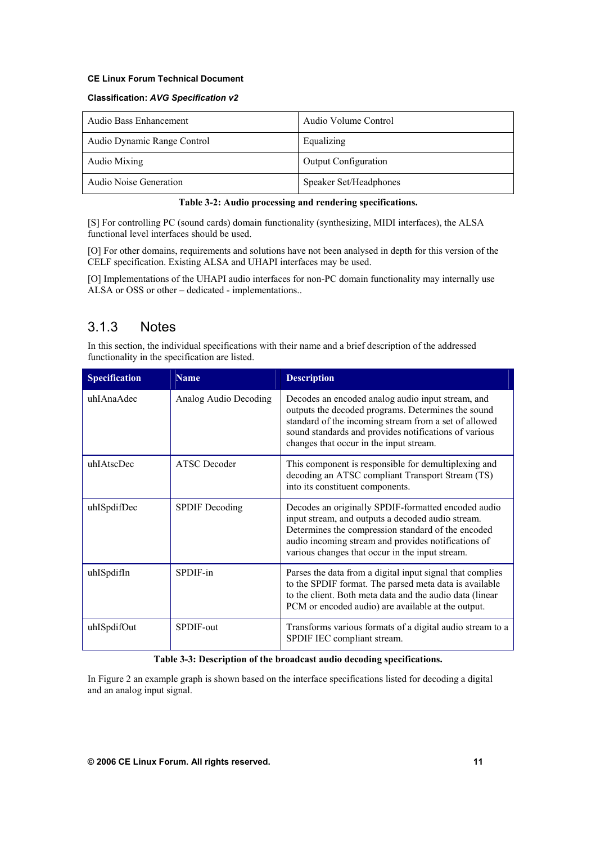#### **Classification:** *AVG Specification v2*

| Audio Bass Enhancement      | Audio Volume Control        |
|-----------------------------|-----------------------------|
| Audio Dynamic Range Control | Equalizing                  |
| Audio Mixing                | <b>Output Configuration</b> |
| Audio Noise Generation      | Speaker Set/Headphones      |

#### **Table 3-2: Audio processing and rendering specifications.**

[S] For controlling PC (sound cards) domain functionality (synthesizing, MIDI interfaces), the ALSA functional level interfaces should be used.

[O] For other domains, requirements and solutions have not been analysed in depth for this version of the CELF specification. Existing ALSA and UHAPI interfaces may be used.

[O] Implementations of the UHAPI audio interfaces for non-PC domain functionality may internally use ALSA or OSS or other – dedicated - implementations..

## 3.1.3 Notes

In this section, the individual specifications with their name and a brief description of the addressed functionality in the specification are listed.

| <b>Specification</b> | <b>Name</b>           | <b>Description</b>                                                                                                                                                                                                                                                       |
|----------------------|-----------------------|--------------------------------------------------------------------------------------------------------------------------------------------------------------------------------------------------------------------------------------------------------------------------|
| uhIAnaAdec           | Analog Audio Decoding | Decodes an encoded analog audio input stream, and<br>outputs the decoded programs. Determines the sound<br>standard of the incoming stream from a set of allowed<br>sound standards and provides notifications of various<br>changes that occur in the input stream.     |
| uhIAtscDec           | <b>ATSC</b> Decoder   | This component is responsible for demultiplexing and<br>decoding an ATSC compliant Transport Stream (TS)<br>into its constituent components.                                                                                                                             |
| uhISpdifDec          | <b>SPDIF</b> Decoding | Decodes an originally SPDIF-formatted encoded audio<br>input stream, and outputs a decoded audio stream.<br>Determines the compression standard of the encoded<br>audio incoming stream and provides notifications of<br>various changes that occur in the input stream. |
| uhISpdifIn           | SPDIF-in              | Parses the data from a digital input signal that complies<br>to the SPDIF format. The parsed meta data is available<br>to the client. Both meta data and the audio data (linear<br>PCM or encoded audio) are available at the output.                                    |
| uhISpdifOut          | SPDIF-out             | Transforms various formats of a digital audio stream to a<br>SPDIF IEC compliant stream.                                                                                                                                                                                 |

#### **Table 3-3: Description of the broadcast audio decoding specifications.**

In Figure 2 an example graph is shown based on the interface specifications listed for decoding a digital and an analog input signal.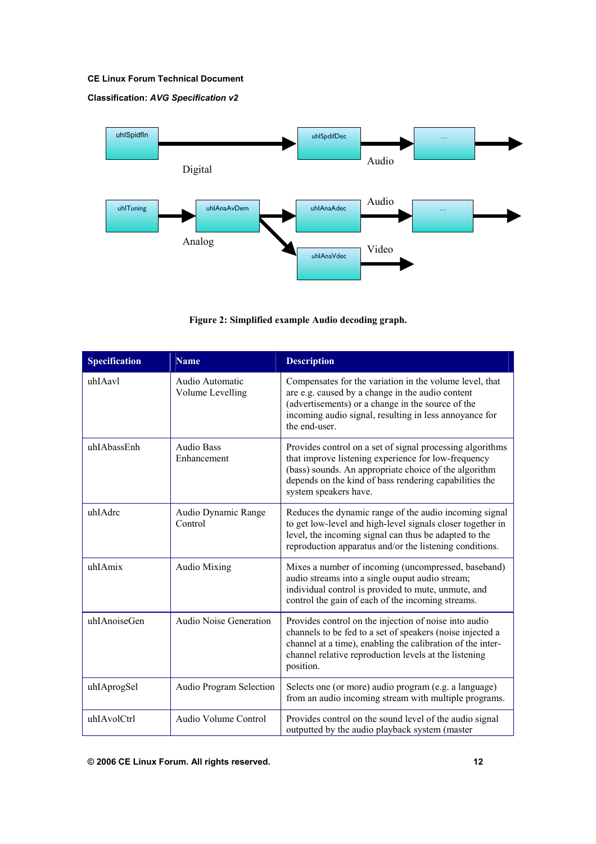### **Classification:** *AVG Specification v2*



**Figure 2: Simplified example Audio decoding graph.** 

| <b>Specification</b> | <b>Name</b>                         | <b>Description</b>                                                                                                                                                                                                                                           |
|----------------------|-------------------------------------|--------------------------------------------------------------------------------------------------------------------------------------------------------------------------------------------------------------------------------------------------------------|
| uhIAavl              | Audio Automatic<br>Volume Levelling | Compensates for the variation in the volume level, that<br>are e.g. caused by a change in the audio content<br>(advertisements) or a change in the source of the<br>incoming audio signal, resulting in less annoyance for<br>the end-user.                  |
| uhIAbassEnh          | <b>Audio Bass</b><br>Enhancement    | Provides control on a set of signal processing algorithms<br>that improve listening experience for low-frequency<br>(bass) sounds. An appropriate choice of the algorithm<br>depends on the kind of bass rendering capabilities the<br>system speakers have. |
| uhIAdrc              | Audio Dynamic Range<br>Control      | Reduces the dynamic range of the audio incoming signal<br>to get low-level and high-level signals closer together in<br>level, the incoming signal can thus be adapted to the<br>reproduction apparatus and/or the listening conditions.                     |
| uhIAmix              | <b>Audio Mixing</b>                 | Mixes a number of incoming (uncompressed, baseband)<br>audio streams into a single ouput audio stream;<br>individual control is provided to mute, unmute, and<br>control the gain of each of the incoming streams.                                           |
| uhIAnoiseGen         | Audio Noise Generation              | Provides control on the injection of noise into audio<br>channels to be fed to a set of speakers (noise injected a<br>channel at a time), enabling the calibration of the inter-<br>channel relative reproduction levels at the listening<br>position.       |
| uhIAprogSel          | Audio Program Selection             | Selects one (or more) audio program (e.g. a language)<br>from an audio incoming stream with multiple programs.                                                                                                                                               |
| uhIAvolCtrl          | Audio Volume Control                | Provides control on the sound level of the audio signal<br>outputted by the audio playback system (master                                                                                                                                                    |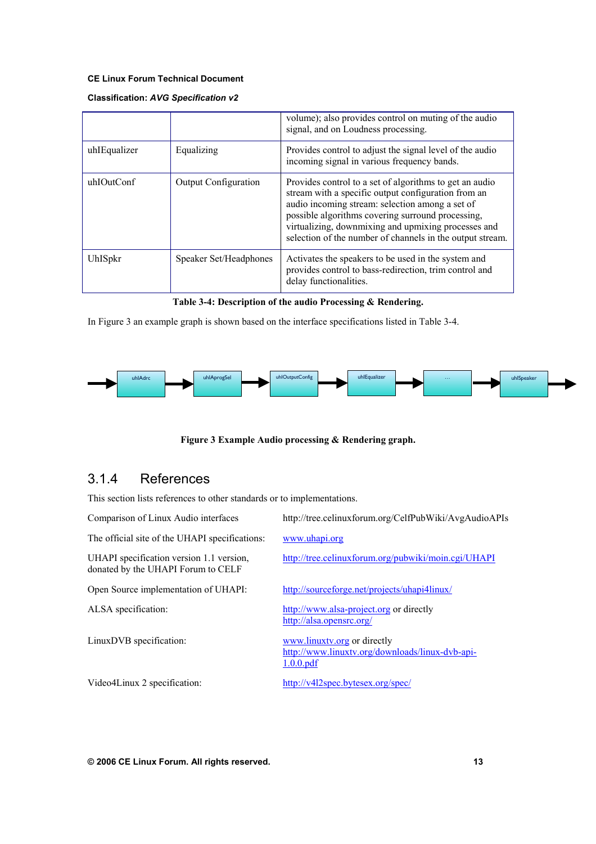### **Classification:** *AVG Specification v2*

|              |                        | volume); also provides control on muting of the audio<br>signal, and on Loudness processing.                                                                                                                                                                                                                                               |
|--------------|------------------------|--------------------------------------------------------------------------------------------------------------------------------------------------------------------------------------------------------------------------------------------------------------------------------------------------------------------------------------------|
| uhIEqualizer | Equalizing             | Provides control to adjust the signal level of the audio<br>incoming signal in various frequency bands.                                                                                                                                                                                                                                    |
| uhIOutConf   | Output Configuration   | Provides control to a set of algorithms to get an audio<br>stream with a specific output configuration from an<br>audio incoming stream: selection among a set of<br>possible algorithms covering surround processing,<br>virtualizing, downmixing and upmixing processes and<br>selection of the number of channels in the output stream. |
| UhISpkr      | Speaker Set/Headphones | Activates the speakers to be used in the system and<br>provides control to bass-redirection, trim control and<br>delay functionalities.                                                                                                                                                                                                    |

#### **Table 3-4: Description of the audio Processing & Rendering.**

In Figure 3 an example graph is shown based on the interface specifications listed in Table 3-4.



**Figure 3 Example Audio processing & Rendering graph.** 

# 3.1.4 References

This section lists references to other standards or to implementations.

| Comparison of Linux Audio interfaces                                           | http://tree.celinuxforum.org/CelfPubWiki/AvgAudioAPIs                                       |
|--------------------------------------------------------------------------------|---------------------------------------------------------------------------------------------|
| The official site of the UHAPI specifications:                                 | www.uhapi.org                                                                               |
| UHAPI specification version 1.1 version,<br>donated by the UHAPI Forum to CELF | http://tree.celinuxforum.org/pubwiki/moin.cgi/UHAPI                                         |
| Open Source implementation of UHAPI:                                           | http://sourceforge.net/projects/uhapi4linux/                                                |
| ALSA specification:                                                            | http://www.alsa-project.org or directly<br>http://alsa.opensrc.org/                         |
| LinuxDVB specification:                                                        | www.linuxty.org or directly<br>http://www.linuxtv.org/downloads/linux-dvb-api-<br>1.0.0.pdf |
| Video4Linux 2 specification:                                                   | http://v4l2spec.bytesex.org/spec/                                                           |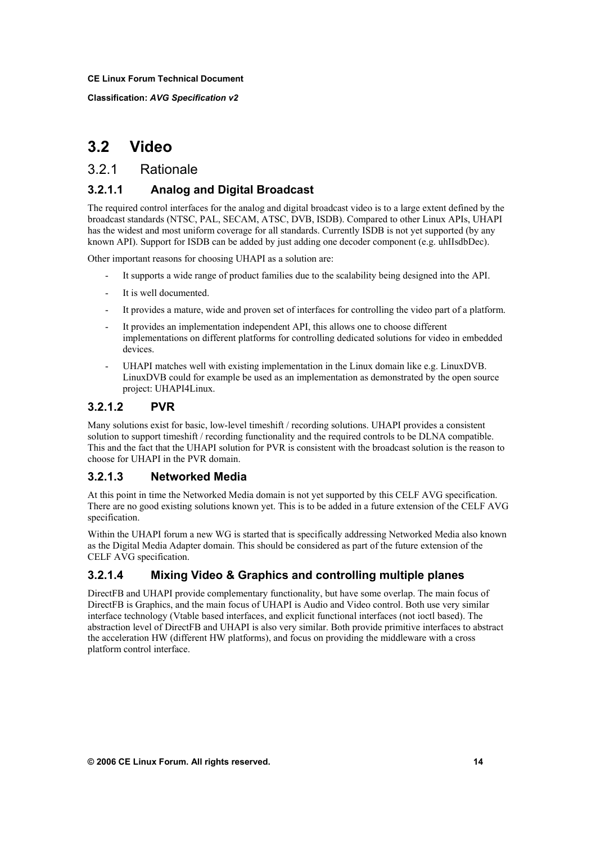**Classification:** *AVG Specification v2*

# **3.2 Video**

## 3.2.1 Rationale

### **3.2.1.1 Analog and Digital Broadcast**

The required control interfaces for the analog and digital broadcast video is to a large extent defined by the broadcast standards (NTSC, PAL, SECAM, ATSC, DVB, ISDB). Compared to other Linux APIs, UHAPI has the widest and most uniform coverage for all standards. Currently ISDB is not yet supported (by any known API). Support for ISDB can be added by just adding one decoder component (e.g. uhIIsdbDec).

Other important reasons for choosing UHAPI as a solution are:

- It supports a wide range of product families due to the scalability being designed into the API.
- It is well documented.
- It provides a mature, wide and proven set of interfaces for controlling the video part of a platform.
- It provides an implementation independent API, this allows one to choose different implementations on different platforms for controlling dedicated solutions for video in embedded devices.
- UHAPI matches well with existing implementation in the Linux domain like e.g. LinuxDVB. LinuxDVB could for example be used as an implementation as demonstrated by the open source project: UHAPI4Linux.

### **3.2.1.2 PVR**

Many solutions exist for basic, low-level timeshift / recording solutions. UHAPI provides a consistent solution to support timeshift / recording functionality and the required controls to be DLNA compatible. This and the fact that the UHAPI solution for PVR is consistent with the broadcast solution is the reason to choose for UHAPI in the PVR domain.

### **3.2.1.3 Networked Media**

At this point in time the Networked Media domain is not yet supported by this CELF AVG specification. There are no good existing solutions known yet. This is to be added in a future extension of the CELF AVG specification.

Within the UHAPI forum a new WG is started that is specifically addressing Networked Media also known as the Digital Media Adapter domain. This should be considered as part of the future extension of the CELF AVG specification.

## **3.2.1.4 Mixing Video & Graphics and controlling multiple planes**

DirectFB and UHAPI provide complementary functionality, but have some overlap. The main focus of DirectFB is Graphics, and the main focus of UHAPI is Audio and Video control. Both use very similar interface technology (Vtable based interfaces, and explicit functional interfaces (not ioctl based). The abstraction level of DirectFB and UHAPI is also very similar. Both provide primitive interfaces to abstract the acceleration HW (different HW platforms), and focus on providing the middleware with a cross platform control interface.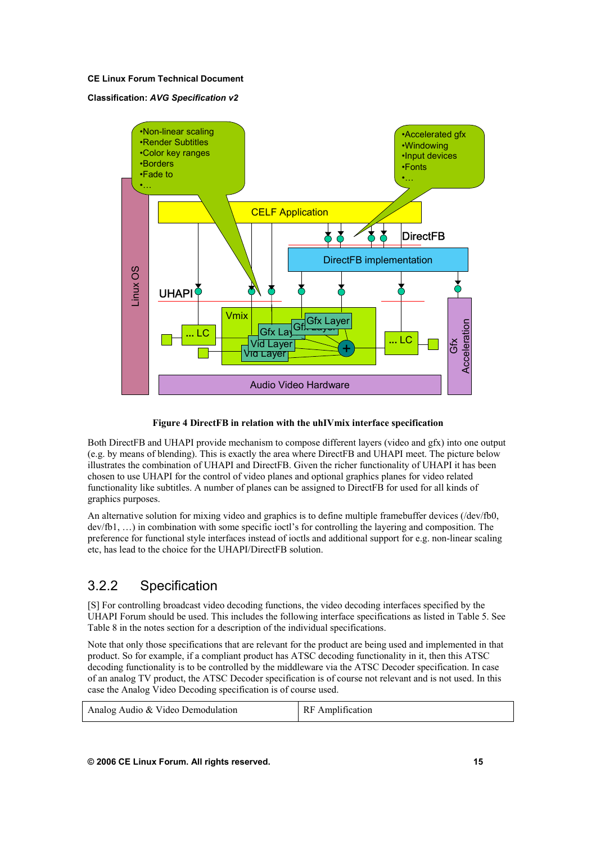#### **Classification:** *AVG Specification v2*



#### **Figure 4 DirectFB in relation with the uhIVmix interface specification**

Both DirectFB and UHAPI provide mechanism to compose different layers (video and gfx) into one output (e.g. by means of blending). This is exactly the area where DirectFB and UHAPI meet. The picture below illustrates the combination of UHAPI and DirectFB. Given the richer functionality of UHAPI it has been chosen to use UHAPI for the control of video planes and optional graphics planes for video related functionality like subtitles. A number of planes can be assigned to DirectFB for used for all kinds of graphics purposes.

An alternative solution for mixing video and graphics is to define multiple framebuffer devices (/dev/fb0, dev/fb1, …) in combination with some specific ioctl's for controlling the layering and composition. The preference for functional style interfaces instead of ioctls and additional support for e.g. non-linear scaling etc, has lead to the choice for the UHAPI/DirectFB solution.

## 3.2.2 Specification

[S] For controlling broadcast video decoding functions, the video decoding interfaces specified by the UHAPI Forum should be used. This includes the following interface specifications as listed in Table 5. See Table 8 in the notes section for a description of the individual specifications.

Note that only those specifications that are relevant for the product are being used and implemented in that product. So for example, if a compliant product has ATSC decoding functionality in it, then this ATSC decoding functionality is to be controlled by the middleware via the ATSC Decoder specification. In case of an analog TV product, the ATSC Decoder specification is of course not relevant and is not used. In this case the Analog Video Decoding specification is of course used.

| Analog Audio & Video Demodulation | RF Amplification |
|-----------------------------------|------------------|
|                                   |                  |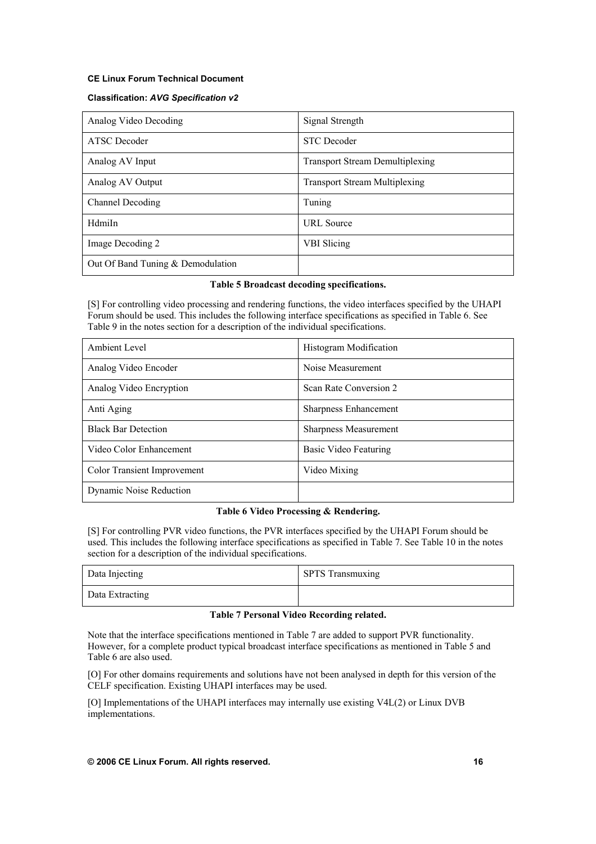#### **Classification:** *AVG Specification v2*

| Analog Video Decoding             | Signal Strength                        |
|-----------------------------------|----------------------------------------|
| <b>ATSC</b> Decoder               | <b>STC</b> Decoder                     |
| Analog AV Input                   | <b>Transport Stream Demultiplexing</b> |
| Analog AV Output                  | <b>Transport Stream Multiplexing</b>   |
| Channel Decoding                  | Tuning                                 |
| HdmiIn                            | <b>URL</b> Source                      |
| Image Decoding 2                  | <b>VBI</b> Slicing                     |
| Out Of Band Tuning & Demodulation |                                        |

#### **Table 5 Broadcast decoding specifications.**

[S] For controlling video processing and rendering functions, the video interfaces specified by the UHAPI Forum should be used. This includes the following interface specifications as specified in Table 6. See Table 9 in the notes section for a description of the individual specifications.

| Ambient Level               | Histogram Modification |
|-----------------------------|------------------------|
| Analog Video Encoder        | Noise Measurement      |
| Analog Video Encryption     | Scan Rate Conversion 2 |
| Anti Aging                  | Sharpness Enhancement  |
| <b>Black Bar Detection</b>  | Sharpness Measurement  |
| Video Color Enhancement     | Basic Video Featuring  |
| Color Transient Improvement | Video Mixing           |
| Dynamic Noise Reduction     |                        |

#### **Table 6 Video Processing & Rendering.**

[S] For controlling PVR video functions, the PVR interfaces specified by the UHAPI Forum should be used. This includes the following interface specifications as specified in Table 7. See Table 10 in the notes section for a description of the individual specifications.

| Data Injecting  | <b>SPTS</b> Transmuxing |
|-----------------|-------------------------|
| Data Extracting |                         |

#### **Table 7 Personal Video Recording related.**

Note that the interface specifications mentioned in Table 7 are added to support PVR functionality. However, for a complete product typical broadcast interface specifications as mentioned in Table 5 and Table 6 are also used.

[O] For other domains requirements and solutions have not been analysed in depth for this version of the CELF specification. Existing UHAPI interfaces may be used.

[O] Implementations of the UHAPI interfaces may internally use existing V4L(2) or Linux DVB implementations.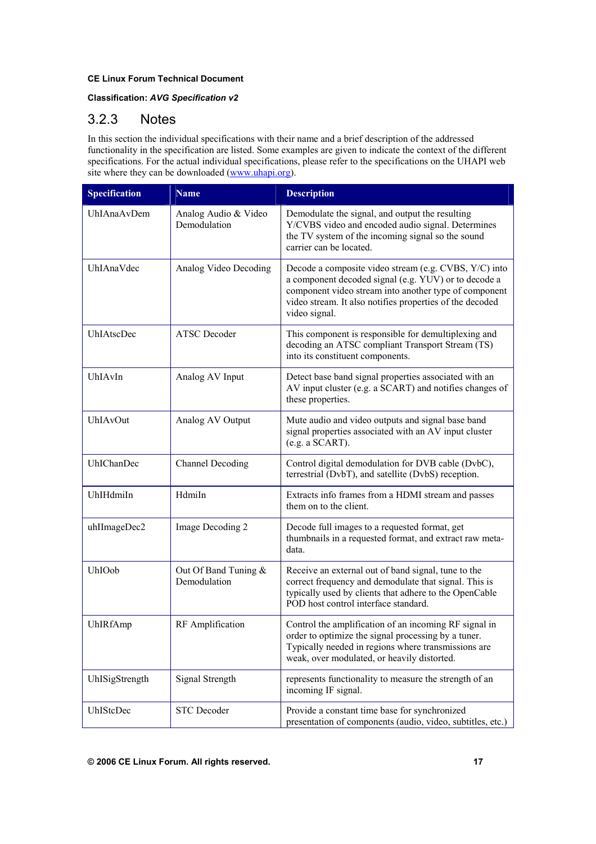### **Classification:** *AVG Specification v2*

## 3.2.3 Notes

In this section the individual specifications with their name and a brief description of the addressed functionality in the specification are listed. Some examples are given to indicate the context of the different specifications. For the actual individual specifications, please refer to the specifications on the UHAPI web site where they can be downloaded (www.uhapi.org).

| <b>Specification</b>                                | <b>Name</b>         | <b>Description</b>                                                                                                                                                                                                                                  |  |
|-----------------------------------------------------|---------------------|-----------------------------------------------------------------------------------------------------------------------------------------------------------------------------------------------------------------------------------------------------|--|
| UhIAnaAvDem<br>Analog Audio & Video<br>Demodulation |                     | Demodulate the signal, and output the resulting<br>Y/CVBS video and encoded audio signal. Determines<br>the TV system of the incoming signal so the sound<br>carrier can be located.                                                                |  |
| UhIAnaVdec<br>Analog Video Decoding                 |                     | Decode a composite video stream (e.g. CVBS, Y/C) into<br>a component decoded signal (e.g. YUV) or to decode a<br>component video stream into another type of component<br>video stream. It also notifies properties of the decoded<br>video signal. |  |
| UhIAtscDec                                          | <b>ATSC</b> Decoder | This component is responsible for demultiplexing and<br>decoding an ATSC compliant Transport Stream (TS)<br>into its constituent components.                                                                                                        |  |
| UhIAvIn<br>Analog AV Input                          |                     | Detect base band signal properties associated with an<br>AV input cluster (e.g. a SCART) and notifies changes of<br>these properties.                                                                                                               |  |
| UhIAvOut<br>Analog AV Output                        |                     | Mute audio and video outputs and signal base band<br>signal properties associated with an AV input cluster<br>(e.g. a SCART).                                                                                                                       |  |
| <b>UhIChanDec</b><br>Channel Decoding               |                     | Control digital demodulation for DVB cable (DvbC),<br>terrestrial (DvbT), and satellite (DvbS) reception.                                                                                                                                           |  |
| UhIHdmiIn<br>HdmiIn                                 |                     | Extracts info frames from a HDMI stream and passes<br>them on to the client.                                                                                                                                                                        |  |
| uhIImageDec2<br>Image Decoding 2                    |                     | Decode full images to a requested format, get<br>thumbnails in a requested format, and extract raw meta-<br>data.                                                                                                                                   |  |
| UhIOob<br>Out Of Band Tuning $&$<br>Demodulation    |                     | Receive an external out of band signal, tune to the<br>correct frequency and demodulate that signal. This is<br>typically used by clients that adhere to the OpenCable<br>POD host control interface standard.                                      |  |
| UhIRfAmp<br>RF Amplification                        |                     | Control the amplification of an incoming RF signal in<br>order to optimize the signal processing by a tuner.<br>Typically needed in regions where transmissions are<br>weak, over modulated, or heavily distorted.                                  |  |
| UhISigStrength<br>Signal Strength                   |                     | represents functionality to measure the strength of an<br>incoming IF signal.                                                                                                                                                                       |  |
| <b>STC</b> Decoder<br>UhIStcDec                     |                     | Provide a constant time base for synchronized<br>presentation of components (audio, video, subtitles, etc.)                                                                                                                                         |  |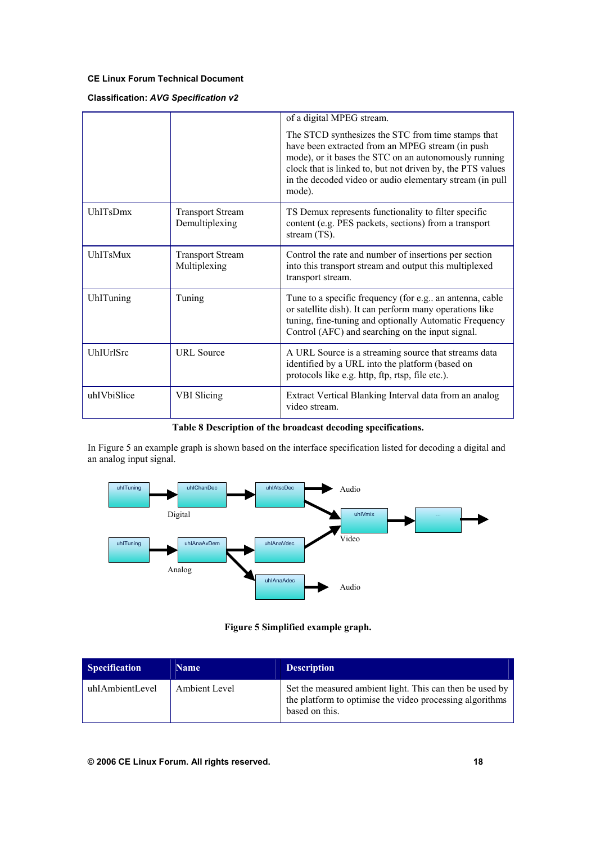### **Classification:** *AVG Specification v2*

|                  |                                           | of a digital MPEG stream.                                                                                                                                                                                                                                                                           |
|------------------|-------------------------------------------|-----------------------------------------------------------------------------------------------------------------------------------------------------------------------------------------------------------------------------------------------------------------------------------------------------|
|                  |                                           | The STCD synthesizes the STC from time stamps that<br>have been extracted from an MPEG stream (in push<br>mode), or it bases the STC on an autonomously running<br>clock that is linked to, but not driven by, the PTS values<br>in the decoded video or audio elementary stream (in pull<br>mode). |
| <b>UhITsDmx</b>  | <b>Transport Stream</b><br>Demultiplexing | TS Demux represents functionality to filter specific<br>content (e.g. PES packets, sections) from a transport<br>stream (TS).                                                                                                                                                                       |
| <b>UhITsMux</b>  | <b>Transport Stream</b><br>Multiplexing   | Control the rate and number of insertions per section<br>into this transport stream and output this multiplexed<br>transport stream.                                                                                                                                                                |
| UhlTuning        | Tuning                                    | Tune to a specific frequency (for e.g., an antenna, cable<br>or satellite dish). It can perform many operations like<br>tuning, fine-tuning and optionally Automatic Frequency<br>Control (AFC) and searching on the input signal.                                                                  |
| <b>UhIUrlSrc</b> | <b>URL</b> Source                         | A URL Source is a streaming source that streams data<br>identified by a URL into the platform (based on<br>protocols like e.g. http, ftp, rtsp, file etc.).                                                                                                                                         |
| uhIVbiSlice      | VBI Slicing                               | Extract Vertical Blanking Interval data from an analog<br>video stream.                                                                                                                                                                                                                             |

### **Table 8 Description of the broadcast decoding specifications.**

In Figure 5 an example graph is shown based on the interface specification listed for decoding a digital and an analog input signal.



**Figure 5 Simplified example graph.** 

| Specification   | <b>Name</b>   | <b>Description</b>                                                                                                                     |
|-----------------|---------------|----------------------------------------------------------------------------------------------------------------------------------------|
| uhIAmbientLevel | Ambient Level | Set the measured ambient light. This can then be used by<br>the platform to optimise the video processing algorithms<br>based on this. |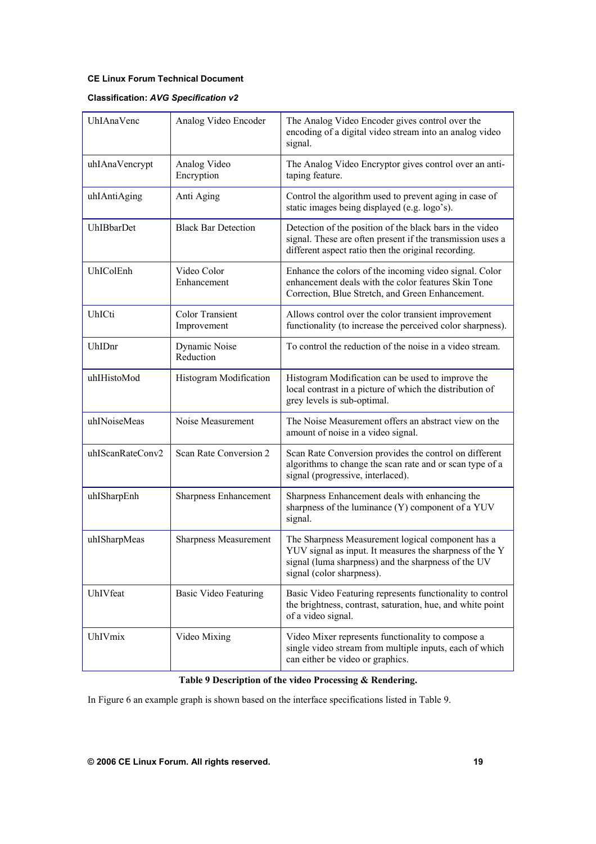### **Classification:** *AVG Specification v2*

| UhIAnaVenc                                      | Analog Video Encoder | The Analog Video Encoder gives control over the<br>encoding of a digital video stream into an analog video<br>signal.                                                                            |  |
|-------------------------------------------------|----------------------|--------------------------------------------------------------------------------------------------------------------------------------------------------------------------------------------------|--|
| uhIAnaVencrypt<br>Analog Video<br>Encryption    |                      | The Analog Video Encryptor gives control over an anti-<br>taping feature.                                                                                                                        |  |
| Anti Aging<br>uhIAntiAging                      |                      | Control the algorithm used to prevent aging in case of<br>static images being displayed (e.g. logo's).                                                                                           |  |
| <b>Black Bar Detection</b><br><b>UhIBbarDet</b> |                      | Detection of the position of the black bars in the video<br>signal. These are often present if the transmission uses a<br>different aspect ratio then the original recording.                    |  |
| Video Color<br>UhIColEnh<br>Enhancement         |                      | Enhance the colors of the incoming video signal. Color<br>enhancement deals with the color features Skin Tone<br>Correction, Blue Stretch, and Green Enhancement.                                |  |
| UhICti<br><b>Color Transient</b><br>Improvement |                      | Allows control over the color transient improvement<br>functionality (to increase the perceived color sharpness).                                                                                |  |
| Dynamic Noise<br>UhIDnr<br>Reduction            |                      | To control the reduction of the noise in a video stream.                                                                                                                                         |  |
| uhIHistoMod<br>Histogram Modification           |                      | Histogram Modification can be used to improve the<br>local contrast in a picture of which the distribution of<br>grey levels is sub-optimal.                                                     |  |
| uhINoiseMeas                                    | Noise Measurement    | The Noise Measurement offers an abstract view on the<br>amount of noise in a video signal.                                                                                                       |  |
| uhIScanRateConv2<br>Scan Rate Conversion 2      |                      | Scan Rate Conversion provides the control on different<br>algorithms to change the scan rate and or scan type of a<br>signal (progressive, interlaced).                                          |  |
| uhISharpEnh<br><b>Sharpness Enhancement</b>     |                      | Sharpness Enhancement deals with enhancing the<br>sharpness of the luminance (Y) component of a YUV<br>signal.                                                                                   |  |
| uhISharpMeas<br><b>Sharpness Measurement</b>    |                      | The Sharpness Measurement logical component has a<br>YUV signal as input. It measures the sharpness of the Y<br>signal (luma sharpness) and the sharpness of the UV<br>signal (color sharpness). |  |
| UhIVfeat<br><b>Basic Video Featuring</b>        |                      | Basic Video Featuring represents functionality to control<br>the brightness, contrast, saturation, hue, and white point<br>of a video signal.                                                    |  |
| <b>UhIVmix</b><br>Video Mixing                  |                      | Video Mixer represents functionality to compose a<br>single video stream from multiple inputs, each of which<br>can either be video or graphics.                                                 |  |

### **Table 9 Description of the video Processing & Rendering.**

In Figure 6 an example graph is shown based on the interface specifications listed in Table 9.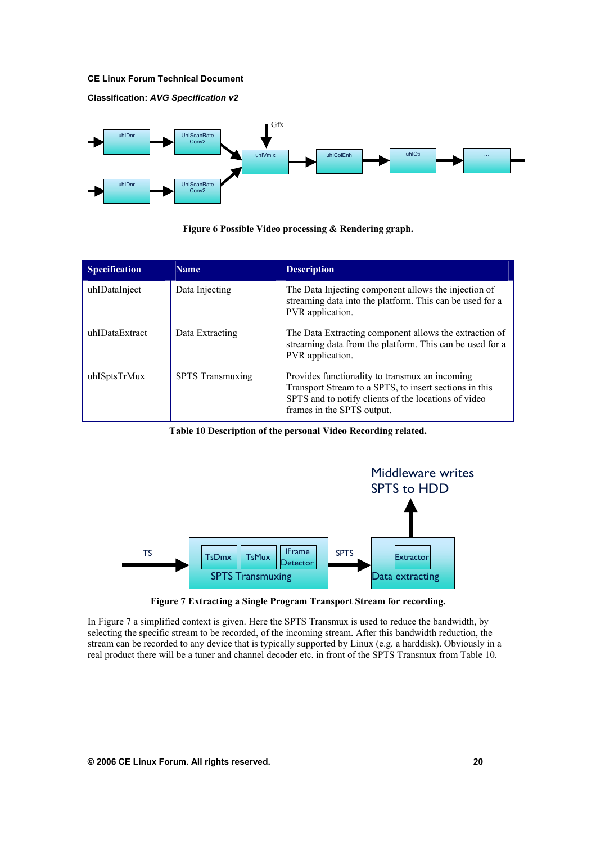**Classification:** *AVG Specification v2*



**Figure 6 Possible Video processing & Rendering graph.**

| <b>Specification</b> | <b>Name</b>             | <b>Description</b>                                                                                                                                                                             |
|----------------------|-------------------------|------------------------------------------------------------------------------------------------------------------------------------------------------------------------------------------------|
| uhIDataInject        | Data Injecting          | The Data Injecting component allows the injection of<br>streaming data into the platform. This can be used for a<br>PVR application.                                                           |
| uhIDataExtract       | Data Extracting         | The Data Extracting component allows the extraction of<br>streaming data from the platform. This can be used for a<br>PVR application.                                                         |
| uhISptsTrMux         | <b>SPTS</b> Transmuxing | Provides functionality to transmux an incoming<br>Transport Stream to a SPTS, to insert sections in this<br>SPTS and to notify clients of the locations of video<br>frames in the SPTS output. |

**Table 10 Description of the personal Video Recording related.** 



**Figure 7 Extracting a Single Program Transport Stream for recording.**

In Figure 7 a simplified context is given. Here the SPTS Transmux is used to reduce the bandwidth, by selecting the specific stream to be recorded, of the incoming stream. After this bandwidth reduction, the stream can be recorded to any device that is typically supported by Linux (e.g. a harddisk). Obviously in a real product there will be a tuner and channel decoder etc. in front of the SPTS Transmux from Table 10.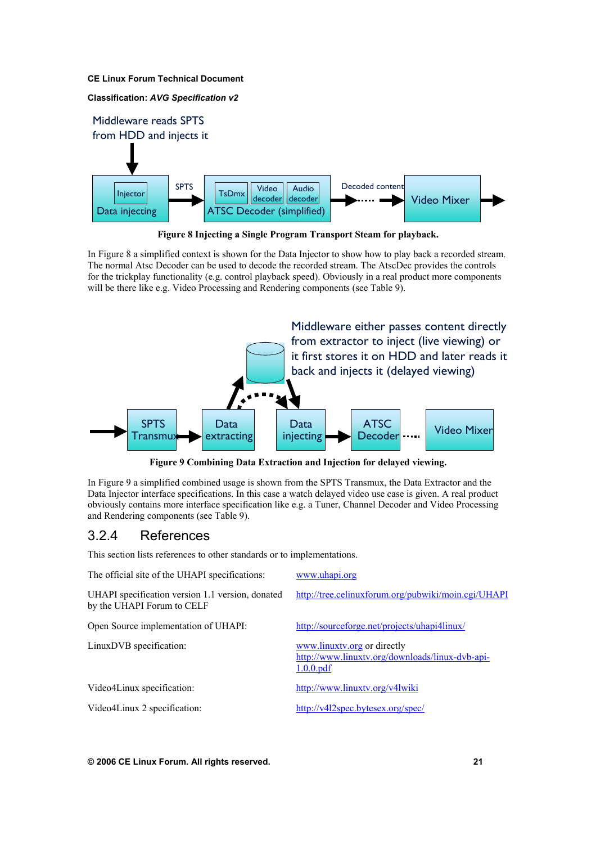#### **Classification:** *AVG Specification v2*



**Figure 8 Injecting a Single Program Transport Steam for playback.** 

In Figure 8 a simplified context is shown for the Data Injector to show how to play back a recorded stream. The normal Atsc Decoder can be used to decode the recorded stream. The AtscDec provides the controls for the trickplay functionality (e.g. control playback speed). Obviously in a real product more components will be there like e.g. Video Processing and Rendering components (see Table 9).



**Figure 9 Combining Data Extraction and Injection for delayed viewing.** 

In Figure 9 a simplified combined usage is shown from the SPTS Transmux, the Data Extractor and the Data Injector interface specifications. In this case a watch delayed video use case is given. A real product obviously contains more interface specification like e.g. a Tuner, Channel Decoder and Video Processing and Rendering components (see Table 9).

### 3.2.4 References

This section lists references to other standards or to implementations.

| The official site of the UHAPI specifications:                                 | www.uhapi.org                                                                               |
|--------------------------------------------------------------------------------|---------------------------------------------------------------------------------------------|
| UHAPI specification version 1.1 version, donated<br>by the UHAPI Forum to CELF | http://tree.celinuxforum.org/pubwiki/moin.cgi/UHAPI                                         |
| Open Source implementation of UHAPI:                                           | http://sourceforge.net/projects/uhapi4linux/                                                |
| LinuxDVB specification:                                                        | www.linuxtv.org or directly<br>http://www.linuxtv.org/downloads/linux-dvb-api-<br>1.0.0.pdf |
| Video4Linux specification:                                                     | http://www.linuxtv.org/v4lwiki                                                              |
| Video4Linux 2 specification:                                                   | http://v4l2spec.bytesex.org/spec/                                                           |
|                                                                                |                                                                                             |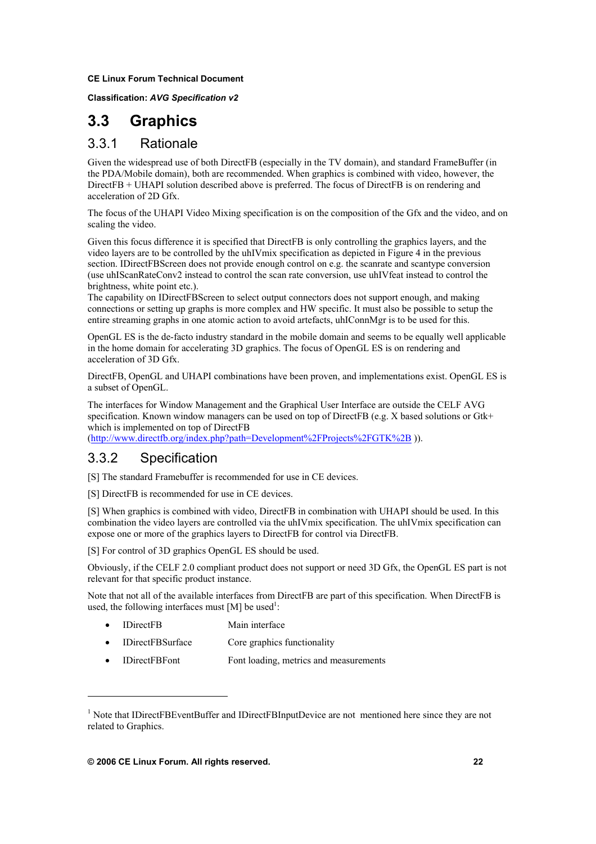**Classification:** *AVG Specification v2*

# **3.3 Graphics**

## 3.3.1 Rationale

Given the widespread use of both DirectFB (especially in the TV domain), and standard FrameBuffer (in the PDA/Mobile domain), both are recommended. When graphics is combined with video, however, the DirectFB + UHAPI solution described above is preferred. The focus of DirectFB is on rendering and acceleration of 2D Gfx.

The focus of the UHAPI Video Mixing specification is on the composition of the Gfx and the video, and on scaling the video.

Given this focus difference it is specified that DirectFB is only controlling the graphics layers, and the video layers are to be controlled by the uhIVmix specification as depicted in Figure 4 in the previous section. IDirectFBScreen does not provide enough control on e.g. the scanrate and scantype conversion (use uhIScanRateConv2 instead to control the scan rate conversion, use uhIVfeat instead to control the brightness, white point etc.).

The capability on IDirectFBScreen to select output connectors does not support enough, and making connections or setting up graphs is more complex and HW specific. It must also be possible to setup the entire streaming graphs in one atomic action to avoid artefacts, uhIConnMgr is to be used for this.

OpenGL ES is the de-facto industry standard in the mobile domain and seems to be equally well applicable in the home domain for accelerating 3D graphics. The focus of OpenGL ES is on rendering and acceleration of 3D Gfx.

DirectFB, OpenGL and UHAPI combinations have been proven, and implementations exist. OpenGL ES is a subset of OpenGL.

The interfaces for Window Management and the Graphical User Interface are outside the CELF AVG specification. Known window managers can be used on top of DirectFB (e.g. X based solutions or Gtk+ which is implemented on top of DirectFB

(http://www.directfb.org/index.php?path=Development%2FProjects%2FGTK%2B )).

## 3.3.2 Specification

[\[](http://www.directfb.org/index.php?path=Development%2FProjects%2FGTK%2B)S] The standard Framebuffer is recommended for use in CE devices.

[S] DirectFB is recommended for use in CE devices.

[S] When graphics is combined with video, DirectFB in combination with UHAPI should be used. In this combination the video layers are controlled via the uhIVmix specification. The uhIVmix specification can expose one or more of the graphics layers to DirectFB for control via DirectFB.

[S] For control of 3D graphics OpenGL ES should be used.

Obviously, if the CELF 2.0 compliant product does not support or need 3D Gfx, the OpenGL ES part is not relevant for that specific product instance.

Note that not all of the available interfaces from DirectFB are part of this specification. When DirectFB is used, the following interfaces must [M] be used<sup>1</sup>:

- IDirectFB Main interface
- IDirectFBSurface Core graphics functionality
- IDirectFBFont Font loading, metrics and measurements

 $\overline{a}$ 

<sup>&</sup>lt;sup>1</sup> Note that IDirectFBEventBuffer and IDirectFBInputDevice are not mentioned here since they are not related to Graphics.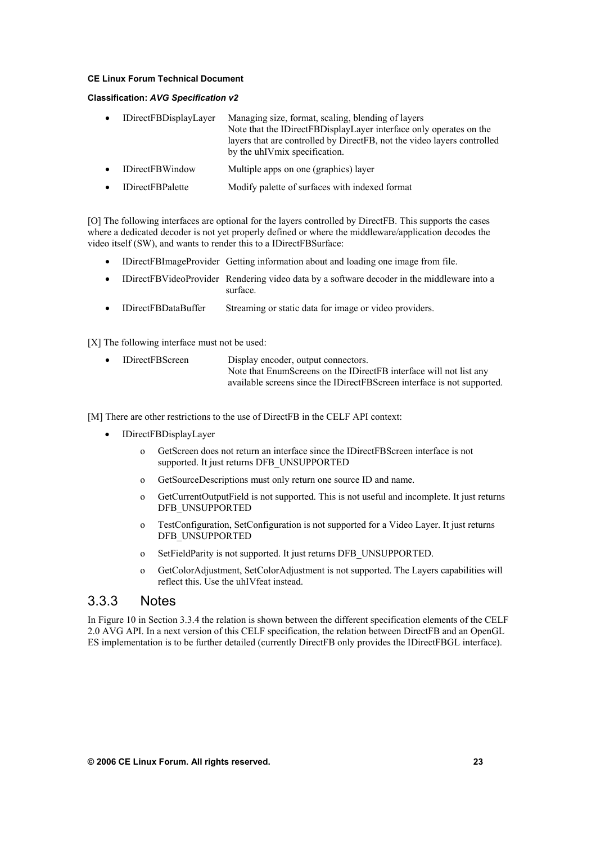#### **Classification:** *AVG Specification v2*

| $\bullet$ | <b>IDirectFBDisplayLayer</b> | Managing size, format, scaling, blending of layers<br>Note that the IDirectFBDisplayLayer interface only operates on the<br>layers that are controlled by DirectFB, not the video layers controlled<br>by the uhIV mix specification. |
|-----------|------------------------------|---------------------------------------------------------------------------------------------------------------------------------------------------------------------------------------------------------------------------------------|
| $\bullet$ | <b>IDirectFBWindow</b>       | Multiple apps on one (graphics) layer                                                                                                                                                                                                 |

• IDirectFBPalette Modify palette of surfaces with indexed format

[O] The following interfaces are optional for the layers controlled by DirectFB. This supports the cases where a dedicated decoder is not yet properly defined or where the middleware/application decodes the video itself (SW), and wants to render this to a IDirectFBSurface:

- IDirectFBImageProvider Getting information about and loading one image from file.
- IDirectFBVideoProvider Rendering video data by a software decoder in the middleware into a surface.
- IDirectFBDataBuffer Streaming or static data for image or video providers.

[X] The following interface must not be used:

| $\bullet$ | <b>IDirectFBScreen</b> | Display encoder, output connectors.                                     |
|-----------|------------------------|-------------------------------------------------------------------------|
|           |                        | Note that EnumScreens on the IDirectFB interface will not list any      |
|           |                        | available screens since the IDirectFBScreen interface is not supported. |

[M] There are other restrictions to the use of DirectFB in the CELF API context:

- IDirectFBDisplayLayer
	- o GetScreen does not return an interface since the IDirectFBScreen interface is not supported. It just returns DFB\_UNSUPPORTED
	- o GetSourceDescriptions must only return one source ID and name.
	- o GetCurrentOutputField is not supported. This is not useful and incomplete. It just returns DFB\_UNSUPPORTED
	- o TestConfiguration, SetConfiguration is not supported for a Video Layer. It just returns DFB\_UNSUPPORTED
	- o SetFieldParity is not supported. It just returns DFB\_UNSUPPORTED.
	- o GetColorAdjustment, SetColorAdjustment is not supported. The Layers capabilities will reflect this. Use the uhIVfeat instead.

### 3.3.3 Notes

In Figure 10 in Section 3.3.4 the relation is shown between the different specification elements of the CELF 2.0 AVG API. In a next version of this CELF specification, the relation between DirectFB and an OpenGL ES implementation is to be further detailed (currently DirectFB only provides the IDirectFBGL interface).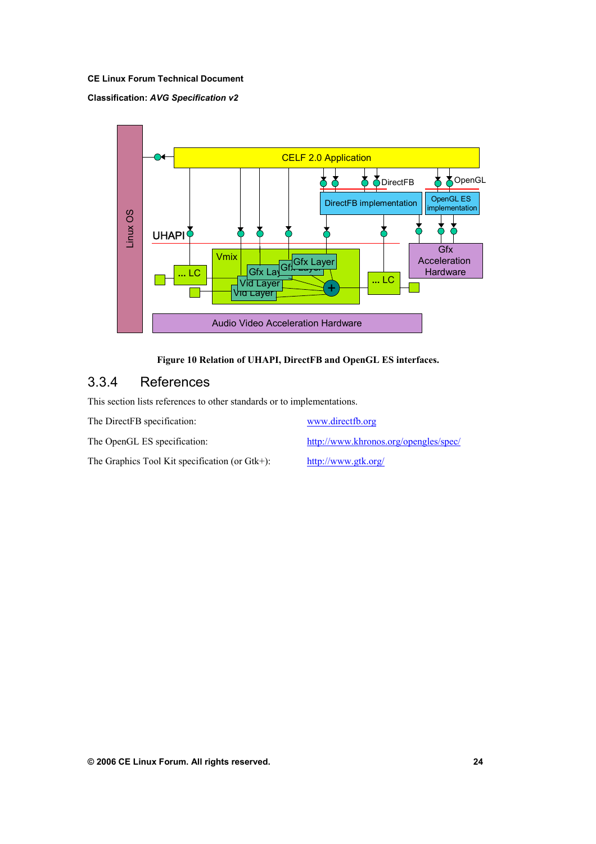#### **Classification:** *AVG Specification v2*



#### **Figure 10 Relation of UHAPI, DirectFB and OpenGL ES interfaces.**

## 3.3.4 References

This section lists references to other standards or to implementations.

The DirectFB specification: www.directfb.org

[The Graphics Tool Kit specificati](http://www.khronos.org/opengles/spec/)on (or Gtk+): http://www.gtk.org/

[The OpenGL ES specification:](http://www.directfb.org/) http://www.khronos.org/opengles/spec/